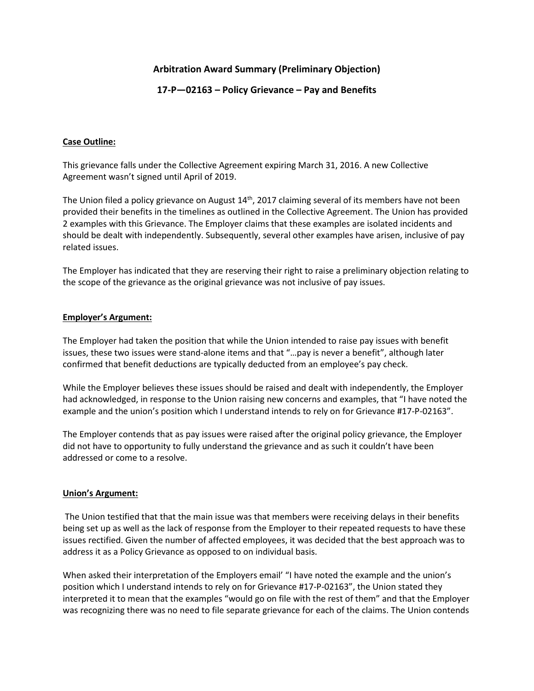# **Arbitration Award Summary (Preliminary Objection)**

## **17-P—02163 – Policy Grievance – Pay and Benefits**

### **Case Outline:**

This grievance falls under the Collective Agreement expiring March 31, 2016. A new Collective Agreement wasn't signed until April of 2019.

The Union filed a policy grievance on August 14<sup>th</sup>, 2017 claiming several of its members have not been provided their benefits in the timelines as outlined in the Collective Agreement. The Union has provided 2 examples with this Grievance. The Employer claims that these examples are isolated incidents and should be dealt with independently. Subsequently, several other examples have arisen, inclusive of pay related issues.

The Employer has indicated that they are reserving their right to raise a preliminary objection relating to the scope of the grievance as the original grievance was not inclusive of pay issues.

#### **Employer's Argument:**

The Employer had taken the position that while the Union intended to raise pay issues with benefit issues, these two issues were stand-alone items and that "…pay is never a benefit", although later confirmed that benefit deductions are typically deducted from an employee's pay check.

While the Employer believes these issues should be raised and dealt with independently, the Employer had acknowledged, in response to the Union raising new concerns and examples, that "I have noted the example and the union's position which I understand intends to rely on for Grievance #17-P-02163".

The Employer contends that as pay issues were raised after the original policy grievance, the Employer did not have to opportunity to fully understand the grievance and as such it couldn't have been addressed or come to a resolve.

#### **Union's Argument:**

The Union testified that that the main issue was that members were receiving delays in their benefits being set up as well as the lack of response from the Employer to their repeated requests to have these issues rectified. Given the number of affected employees, it was decided that the best approach was to address it as a Policy Grievance as opposed to on individual basis.

When asked their interpretation of the Employers email' "I have noted the example and the union's position which I understand intends to rely on for Grievance #17-P-02163", the Union stated they interpreted it to mean that the examples "would go on file with the rest of them" and that the Employer was recognizing there was no need to file separate grievance for each of the claims. The Union contends